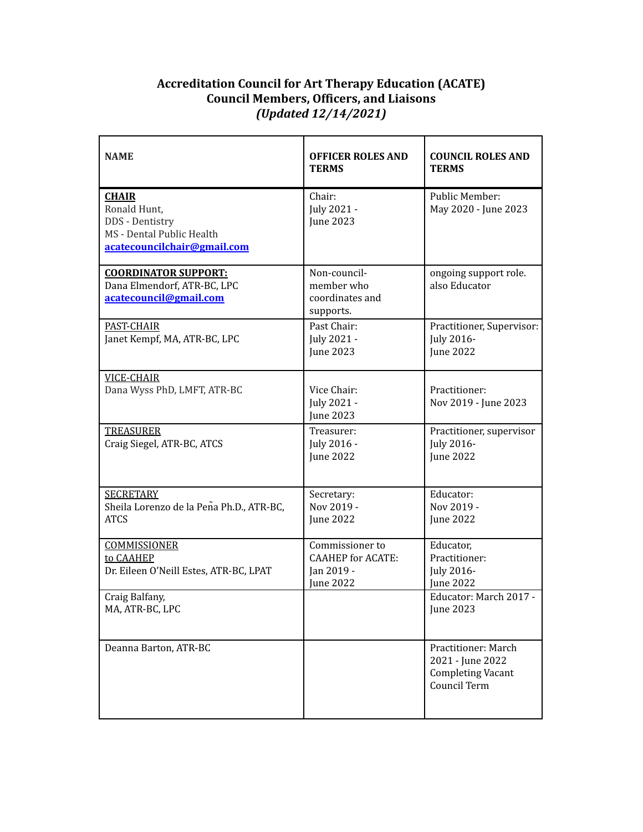## **Accreditation Council for Art Therapy Education (ACATE) Council Members, Officers, and Liaisons** *(Updated 12/14/2021)*

| <b>NAME</b>                                                                                                 | <b>OFFICER ROLES AND</b><br><b>TERMS</b>                                              | <b>COUNCIL ROLES AND</b><br><b>TERMS</b>                                            |
|-------------------------------------------------------------------------------------------------------------|---------------------------------------------------------------------------------------|-------------------------------------------------------------------------------------|
| <b>CHAIR</b><br>Ronald Hunt,<br>DDS - Dentistry<br>MS - Dental Public Health<br>acatecouncilchair@gmail.com | Chair:<br>July 2021 -<br><b>June 2023</b>                                             | Public Member:<br>May 2020 - June 2023                                              |
| <b>COORDINATOR SUPPORT:</b><br>Dana Elmendorf, ATR-BC, LPC<br>acatecouncil@gmail.com                        | Non-council-<br>member who<br>coordinates and<br>supports.                            | ongoing support role.<br>also Educator                                              |
| PAST-CHAIR<br>Janet Kempf, MA, ATR-BC, LPC                                                                  | Past Chair:<br>July 2021 -<br>June 2023                                               | Practitioner, Supervisor:<br>July 2016-<br><b>June 2022</b>                         |
| <b>VICE-CHAIR</b><br>Dana Wyss PhD, LMFT, ATR-BC                                                            | Vice Chair:<br>July 2021 -<br><b>June 2023</b>                                        | Practitioner:<br>Nov 2019 - June 2023                                               |
| <b>TREASURER</b><br>Craig Siegel, ATR-BC, ATCS                                                              | Treasurer:<br>July 2016 -<br><b>June 2022</b>                                         | Practitioner, supervisor<br><b>July 2016-</b><br><b>June 2022</b>                   |
| <b>SECRETARY</b><br>Sheila Lorenzo de la Peña Ph.D., ATR-BC,<br><b>ATCS</b>                                 | Secretary:<br>Nov 2019 -<br>June 2022                                                 | Educator:<br>Nov 2019 -<br><b>June 2022</b>                                         |
| <b>COMMISSIONER</b><br>to CAAHEP<br>Dr. Eileen O'Neill Estes, ATR-BC, LPAT                                  | Commissioner to<br><b>CAAHEP</b> for <b>ACATE</b> :<br>Jan 2019 -<br><b>Iune 2022</b> | Educator,<br>Practitioner:<br>July 2016-<br><b>June 2022</b>                        |
| Craig Balfany,<br>MA, ATR-BC, LPC                                                                           |                                                                                       | Educator: March 2017 -<br>June 2023                                                 |
| Deanna Barton, ATR-BC                                                                                       |                                                                                       | Practitioner: March<br>2021 - June 2022<br><b>Completing Vacant</b><br>Council Term |